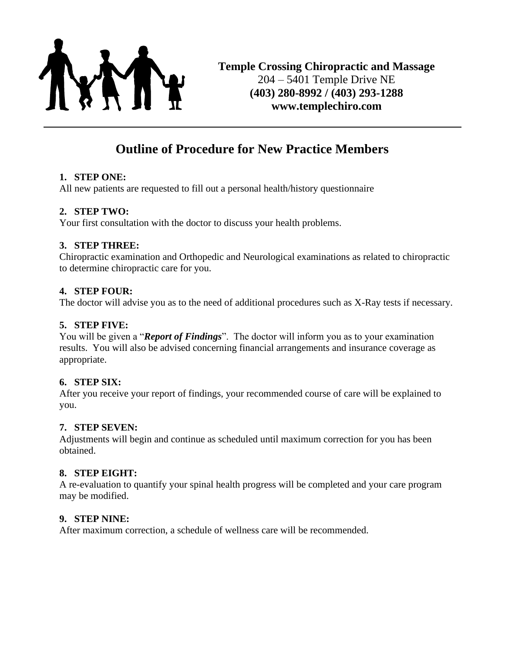

# **Outline of Procedure for New Practice Members**

#### **1. STEP ONE:**

All new patients are requested to fill out a personal health/history questionnaire

#### **2. STEP TWO:**

Your first consultation with the doctor to discuss your health problems.

#### **3. STEP THREE:**

Chiropractic examination and Orthopedic and Neurological examinations as related to chiropractic to determine chiropractic care for you.

#### **4. STEP FOUR:**

The doctor will advise you as to the need of additional procedures such as X-Ray tests if necessary.

#### **5. STEP FIVE:**

You will be given a "*Report of Findings*". The doctor will inform you as to your examination results. You will also be advised concerning financial arrangements and insurance coverage as appropriate.

#### **6. STEP SIX:**

After you receive your report of findings, your recommended course of care will be explained to you.

#### **7. STEP SEVEN:**

Adjustments will begin and continue as scheduled until maximum correction for you has been obtained.

#### **8. STEP EIGHT:**

A re-evaluation to quantify your spinal health progress will be completed and your care program may be modified.

#### **9. STEP NINE:**

After maximum correction, a schedule of wellness care will be recommended.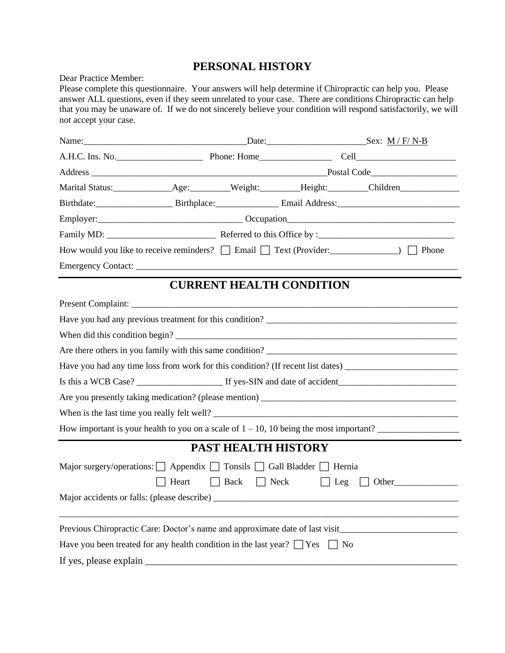## **PERSONAL HISTORY**

Dear Practice Member:

Please complete this questionnaire. Your answers will help determine if Chiropractic can help you. Please answer ALL questions, even if they seem unrelated to your case. There are conditions Chiropractic can help that you may be unaware of. If we do not sincerely believe your condition will respond satisfactorily, we will not accept your case.

|                                                                                            |       |                         |                                 | Birthdate: Birthplace: Birthplace: Email Address: Email Address:                                      |  |  |
|--------------------------------------------------------------------------------------------|-------|-------------------------|---------------------------------|-------------------------------------------------------------------------------------------------------|--|--|
|                                                                                            |       |                         |                                 |                                                                                                       |  |  |
|                                                                                            |       |                         |                                 |                                                                                                       |  |  |
|                                                                                            |       |                         |                                 | How would you like to receive reminders?<br>$\Box$ Email $\Box$ Text (Provider: <u>● [2010]</u> Phone |  |  |
|                                                                                            |       |                         |                                 |                                                                                                       |  |  |
|                                                                                            |       |                         | <b>CURRENT HEALTH CONDITION</b> |                                                                                                       |  |  |
|                                                                                            |       |                         |                                 |                                                                                                       |  |  |
|                                                                                            |       |                         |                                 |                                                                                                       |  |  |
|                                                                                            |       |                         |                                 | When did this condition begin?                                                                        |  |  |
|                                                                                            |       |                         |                                 | Are there others in you family with this same condition?                                              |  |  |
|                                                                                            |       |                         |                                 |                                                                                                       |  |  |
|                                                                                            |       |                         |                                 |                                                                                                       |  |  |
|                                                                                            |       |                         |                                 |                                                                                                       |  |  |
|                                                                                            |       |                         |                                 | When is the last time you really felt well?                                                           |  |  |
|                                                                                            |       |                         |                                 | How important is your health to you on a scale of $1 - 10$ , 10 being the most important?             |  |  |
|                                                                                            |       |                         | <b>PAST HEALTH HISTORY</b>      |                                                                                                       |  |  |
| Major surgery/operations: $\Box$ Appendix $\Box$ Tonsils $\Box$ Gall Bladder $\Box$ Hernia |       |                         |                                 |                                                                                                       |  |  |
|                                                                                            | Heart | $\Box$ Back $\Box$ Neck | $\Box$ Leg                      |                                                                                                       |  |  |
|                                                                                            |       |                         |                                 |                                                                                                       |  |  |
|                                                                                            |       |                         |                                 |                                                                                                       |  |  |
|                                                                                            |       |                         |                                 | Previous Chiropractic Care: Doctor's name and approximate date of last visit________________________  |  |  |
| Have you been treated for any health condition in the last year? $\Box$ Yes $\Box$ No      |       |                         |                                 |                                                                                                       |  |  |
| If yes, please explain                                                                     |       |                         |                                 |                                                                                                       |  |  |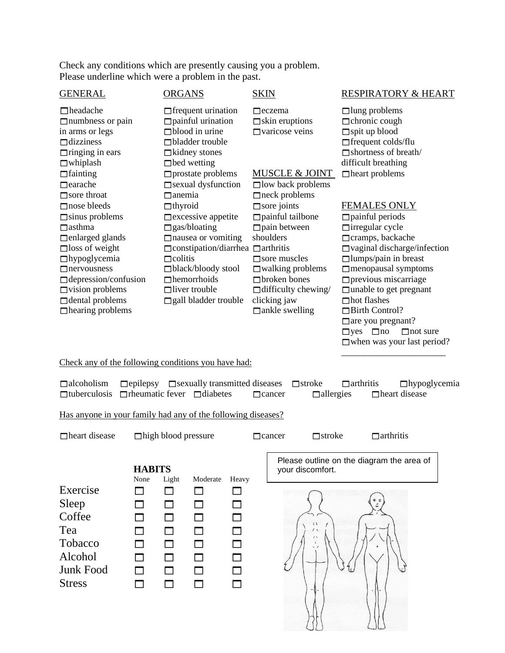Check any conditions which are presently causing you a problem. Please underline which were a problem in the past.

| <b>GENERAL</b>                                                                                                                                                                                                                                                                                                                                                                                                                                                          | <b>ORGANS</b>                                                                                                                                                                                                                                                                                                                                                                                                                                                                                             | <b>SKIN</b>                                                                                                                                                                                                                                                                                                                                                                              | <b>RESPIRATORY &amp; HEART</b>                                                                                                                                                                                                                                                                                                                                                                                                                                                                                                                                                                      |
|-------------------------------------------------------------------------------------------------------------------------------------------------------------------------------------------------------------------------------------------------------------------------------------------------------------------------------------------------------------------------------------------------------------------------------------------------------------------------|-----------------------------------------------------------------------------------------------------------------------------------------------------------------------------------------------------------------------------------------------------------------------------------------------------------------------------------------------------------------------------------------------------------------------------------------------------------------------------------------------------------|------------------------------------------------------------------------------------------------------------------------------------------------------------------------------------------------------------------------------------------------------------------------------------------------------------------------------------------------------------------------------------------|-----------------------------------------------------------------------------------------------------------------------------------------------------------------------------------------------------------------------------------------------------------------------------------------------------------------------------------------------------------------------------------------------------------------------------------------------------------------------------------------------------------------------------------------------------------------------------------------------------|
| $\Box$ headache<br>$\Box$ numbness or pain<br>in arms or legs<br>$\Box$ dizziness<br>$\Box$ ringing in ears<br>$\Box$ whiplash<br>$\Box$ fainting<br>$\Box$ earache<br>$\Box$ sore throat<br>$\Box$ nose bleeds<br>$\Box$ sinus problems<br>$\Box$ asthma<br>$\Box$ enlarged glands<br>$\Box$ loss of weight<br>$\Box$ hypoglycemia<br>$\Box$ nervousness<br>$\Box$ depression/confusion<br>$\Box$ vision problems<br>$\Box$ dental problems<br>$\Box$ hearing problems | $\Box$ frequent urination<br>$\Box$ painful urination<br>$\Box$ blood in urine<br>$\Box$ bladder trouble<br>$\Box$ kidney stones<br>$\Box$ bed wetting<br>$\Box$ prostate problems<br>$\Box$ sexual dysfunction<br>$\Box$ anemia<br>$\Box$ thyroid<br>$\Box$ excessive appetite<br>$\Box$ gas/bloating<br>$\Box$ nausea or vomiting<br>$\Box$ constipation/diarrhea $\Box$ arthritis<br>$\Box$ colitis<br>$\Box$ black/bloody stool<br>$\Box$ hemorrhoids<br>$\Box$ liver trouble<br>gall bladder trouble | $\Box$ eczema<br>$\Box$ skin eruptions<br>$\square$ varicose veins<br><b>MUSCLE &amp; JOINT</b><br>$\Box$ low back problems<br>$\Box$ neck problems<br>$\Box$ sore joints<br>$\Box$ painful tailbone<br>$\Box$ pain between<br>shoulders<br>$\Box$ sore muscles<br>$\Box$ walking problems<br>$\Box$ broken bones<br>$\Box$ difficulty chewing/<br>clicking jaw<br>$\Box$ ankle swelling | $\Box$ lung problems<br>$\Box$ chronic cough<br>$\Box$ spit up blood<br>$\Box$ frequent colds/flu<br>$\Box$ shortness of breath/<br>difficult breathing<br>$\Box$ heart problems<br><b>FEMALES ONLY</b><br>$\Box$ painful periods<br>$\Box$ irregular cycle<br>□ cramps, backache<br>$\Box$ vaginal discharge/infection<br>$\Box$ lumps/pain in breast<br>$\Box$ menopausal symptoms<br>$\Box$ previous miscarriage<br>$\Box$ unable to get pregnant<br>$\Box$ hot flashes<br>Birth Control?<br>□ are you pregnant?<br>$\Box$ yes $\Box$ no<br>$\Box$ not sure<br>$\Box$ when was your last period? |
| Check any of the following conditions you have had:                                                                                                                                                                                                                                                                                                                                                                                                                     |                                                                                                                                                                                                                                                                                                                                                                                                                                                                                                           |                                                                                                                                                                                                                                                                                                                                                                                          |                                                                                                                                                                                                                                                                                                                                                                                                                                                                                                                                                                                                     |
| $\Box$ alcoholism<br>$\Box$ epilepsy<br>$\Box$ tuberculosis                                                                                                                                                                                                                                                                                                                                                                                                             | □ sexually transmitted diseases<br>$\Box$ rheumatic fever $\Box$ diabetes                                                                                                                                                                                                                                                                                                                                                                                                                                 | $\Box$ stroke<br>$\Box$ allergies<br>$\Box$ cancer                                                                                                                                                                                                                                                                                                                                       | $\Box$ arthritis<br>$\Box$ hypoglycemia<br>□ heart disease                                                                                                                                                                                                                                                                                                                                                                                                                                                                                                                                          |
| Has anyone in your family had any of the following diseases?                                                                                                                                                                                                                                                                                                                                                                                                            |                                                                                                                                                                                                                                                                                                                                                                                                                                                                                                           |                                                                                                                                                                                                                                                                                                                                                                                          |                                                                                                                                                                                                                                                                                                                                                                                                                                                                                                                                                                                                     |
| $\Box$ heart disease                                                                                                                                                                                                                                                                                                                                                                                                                                                    | $\Box$ high blood pressure                                                                                                                                                                                                                                                                                                                                                                                                                                                                                | $\Box$ stroke<br>$\Box$ cancer                                                                                                                                                                                                                                                                                                                                                           | $\Box$ arthritis                                                                                                                                                                                                                                                                                                                                                                                                                                                                                                                                                                                    |
| <b>HABITS</b><br>None                                                                                                                                                                                                                                                                                                                                                                                                                                                   | Light<br>Moderate<br>Heavy                                                                                                                                                                                                                                                                                                                                                                                                                                                                                | your discomfort.                                                                                                                                                                                                                                                                                                                                                                         | Please outline on the diagram the area of                                                                                                                                                                                                                                                                                                                                                                                                                                                                                                                                                           |

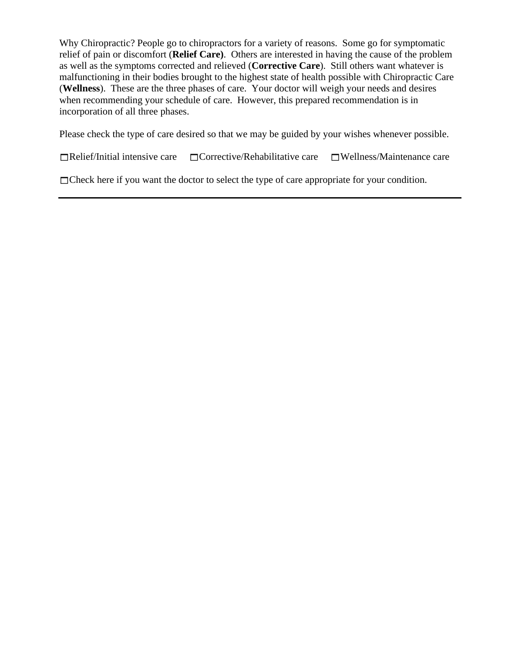Why Chiropractic? People go to chiropractors for a variety of reasons. Some go for symptomatic relief of pain or discomfort (**Relief Care)**. Others are interested in having the cause of the problem as well as the symptoms corrected and relieved (**Corrective Care**). Still others want whatever is malfunctioning in their bodies brought to the highest state of health possible with Chiropractic Care (**Wellness**). These are the three phases of care. Your doctor will weigh your needs and desires when recommending your schedule of care. However, this prepared recommendation is in incorporation of all three phases.

Please check the type of care desired so that we may be guided by your wishes whenever possible.

 $\Box$ Relief/Initial intensive care  $\Box$ Corrective/Rehabilitative care  $\Box$ Wellness/Maintenance care

Check here if you want the doctor to select the type of care appropriate for your condition.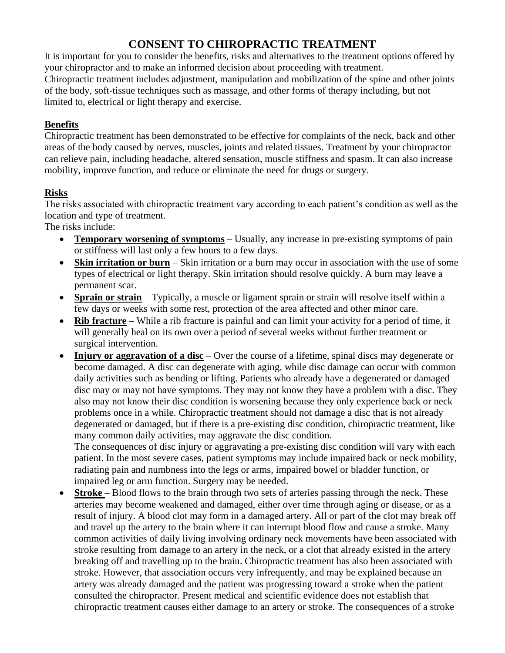## **CONSENT TO CHIROPRACTIC TREATMENT**

It is important for you to consider the benefits, risks and alternatives to the treatment options offered by your chiropractor and to make an informed decision about proceeding with treatment. Chiropractic treatment includes adjustment, manipulation and mobilization of the spine and other joints of the body, soft-tissue techniques such as massage, and other forms of therapy including, but not limited to, electrical or light therapy and exercise.

### **Benefits**

Chiropractic treatment has been demonstrated to be effective for complaints of the neck, back and other areas of the body caused by nerves, muscles, joints and related tissues. Treatment by your chiropractor can relieve pain, including headache, altered sensation, muscle stiffness and spasm. It can also increase mobility, improve function, and reduce or eliminate the need for drugs or surgery.

### **Risks**

The risks associated with chiropractic treatment vary according to each patient's condition as well as the location and type of treatment.

The risks include:

- **Temporary worsening of symptoms** Usually, any increase in pre-existing symptoms of pain or stiffness will last only a few hours to a few days.
- **Skin irritation or burn** Skin irritation or a burn may occur in association with the use of some types of electrical or light therapy. Skin irritation should resolve quickly. A burn may leave a permanent scar.
- **Sprain or strain** Typically, a muscle or ligament sprain or strain will resolve itself within a few days or weeks with some rest, protection of the area affected and other minor care.
- **Rib fracture** While a rib fracture is painful and can limit your activity for a period of time, it will generally heal on its own over a period of several weeks without further treatment or surgical intervention.
- **Injury or aggravation of a disc** Over the course of a lifetime, spinal discs may degenerate or become damaged. A disc can degenerate with aging, while disc damage can occur with common daily activities such as bending or lifting. Patients who already have a degenerated or damaged disc may or may not have symptoms. They may not know they have a problem with a disc. They also may not know their disc condition is worsening because they only experience back or neck problems once in a while. Chiropractic treatment should not damage a disc that is not already degenerated or damaged, but if there is a pre-existing disc condition, chiropractic treatment, like many common daily activities, may aggravate the disc condition.

The consequences of disc injury or aggravating a pre-existing disc condition will vary with each patient. In the most severe cases, patient symptoms may include impaired back or neck mobility, radiating pain and numbness into the legs or arms, impaired bowel or bladder function, or impaired leg or arm function. Surgery may be needed.

• **Stroke** – Blood flows to the brain through two sets of arteries passing through the neck. These arteries may become weakened and damaged, either over time through aging or disease, or as a result of injury. A blood clot may form in a damaged artery. All or part of the clot may break off and travel up the artery to the brain where it can interrupt blood flow and cause a stroke. Many common activities of daily living involving ordinary neck movements have been associated with stroke resulting from damage to an artery in the neck, or a clot that already existed in the artery breaking off and travelling up to the brain. Chiropractic treatment has also been associated with stroke. However, that association occurs very infrequently, and may be explained because an artery was already damaged and the patient was progressing toward a stroke when the patient consulted the chiropractor. Present medical and scientific evidence does not establish that chiropractic treatment causes either damage to an artery or stroke. The consequences of a stroke